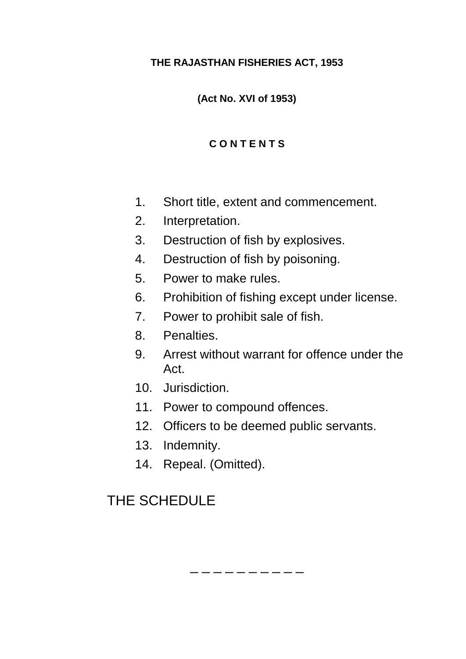### **THE RAJASTHAN FISHERIES ACT, 1953**

**(Act No. XVI of 1953)**

## **C O N T E N T S**

- 1. Short title, extent and commencement.
- 2. Interpretation.
- 3. Destruction of fish by explosives.
- 4. Destruction of fish by poisoning.
- 5. Power to make rules.
- 6. Prohibition of fishing except under license.
- 7. Power to prohibit sale of fish.
- 8. Penalties.
- 9. Arrest without warrant for offence under the Act.
- 10. Jurisdiction.
- 11. Power to compound offences.
- 12. Officers to be deemed public servants.

\_ \_ \_ \_ \_ \_ \_ \_

- 13. Indemnity.
- 14. Repeal. (Omitted).

# THE SCHEDULE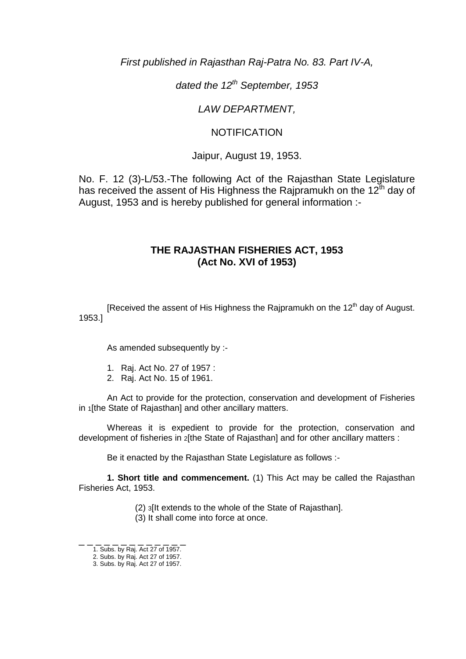*First published in Rajasthan Raj-Patra No. 83. Part IV-A,*

*dated the 12th September, 1953*

*LAW DEPARTMENT,*

#### NOTIFICATION

Jaipur, August 19, 1953.

No. F. 12 (3)-L/53.-The following Act of the Rajasthan State Legislature has received the assent of His Highness the Rajpramukh on the  $12<sup>th</sup>$  day of August, 1953 and is hereby published for general information :-

#### **THE RAJASTHAN FISHERIES ACT, 1953 (Act No. XVI of 1953)**

[Received the assent of His Highness the Rajpramukh on the  $12<sup>th</sup>$  day of August. 1953.]

As amended subsequently by :-

- 1. Raj. Act No. 27 of 1957 :
- 2. Raj. Act No. 15 of 1961.

An Act to provide for the protection, conservation and development of Fisheries in 1[the State of Rajasthan] and other ancillary matters.

Whereas it is expedient to provide for the protection, conservation and development of fisheries in 2[the State of Rajasthan] and for other ancillary matters :

Be it enacted by the Rajasthan State Legislature as follows :-

**1. Short title and commencement.** (1) This Act may be called the Rajasthan Fisheries Act, 1953.

(2) 3[It extends to the whole of the State of Rajasthan].

(3) It shall come into force at once.

\_ \_ \_ \_ \_ \_ \_ \_ \_ \_ \_ \_ \_ 1. Subs. by Raj. Act 27 of 1957.

<sup>2.</sup> Subs. by Raj. Act 27 of 1957.

<sup>3.</sup> Subs. by Raj. Act 27 of 1957.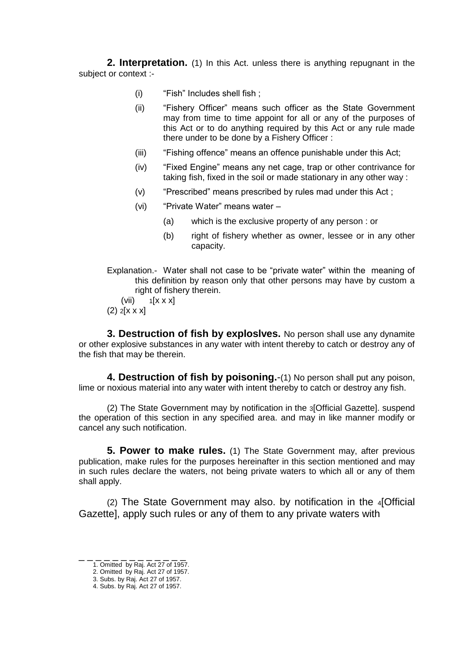**2. Interpretation.** (1) In this Act. unless there is anything repugnant in the subject or context :-

- (i) "Fish" Includes shell fish ;
- (ii) "Fishery Officer" means such officer as the State Government may from time to time appoint for all or any of the purposes of this Act or to do anything required by this Act or any rule made there under to be done by a Fishery Officer :
- (iii) "Fishing offence" means an offence punishable under this Act;
- (iv) "Fixed Engine" means any net cage, trap or other contrivance for taking fish, fixed in the soil or made stationary in any other way :
- (v) "Prescribed" means prescribed by rules mad under this Act ;
- (vi) "Private Water" means water
	- (a) which is the exclusive property of any person : or
	- (b) right of fishery whether as owner, lessee or in any other capacity.
- Explanation.- Water shall not case to be "private water" within the meaning of this definition by reason only that other persons may have by custom a right of fishery therein.

(vii)  $1[x \times x]$  $(2)$  2[ $x \times x$ ]

**3. Destruction of fish by exploslves.** No person shall use any dynamite or other explosive substances in any water with intent thereby to catch or destroy any of the fish that may be therein.

**4. Destruction of fish by poisoning.**-(1) No person shall put any poison, lime or noxious material into any water with intent thereby to catch or destroy any fish.

(2) The State Government may by notification in the 3[Official Gazette]. suspend the operation of this section in any specified area. and may in like manner modify or cancel any such notification.

 **5. Power to make rules.** (1) The State Government may, after previous publication, make rules for the purposes hereinafter in this section mentioned and may in such rules declare the waters, not being private waters to which all or any of them shall apply.

(2) The State Government may also. by notification in the 4[Official Gazette], apply such rules or any of them to any private waters with

\_ \_ \_ \_ \_ \_ \_ \_ \_ \_ \_ \_ \_

<sup>1.</sup> Omitted by Raj. Act 27 of 1957.

<sup>2.</sup> Omitted by Raj. Act 27 of 1957.

<sup>3.</sup> Subs. by Raj. Act 27 of 1957.

<sup>4.</sup> Subs. by Raj. Act 27 of 1957.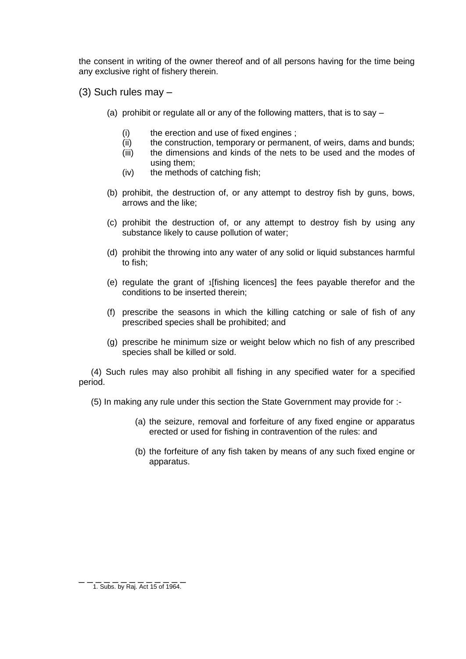the consent in writing of the owner thereof and of all persons having for the time being any exclusive right of fishery therein.

- (3) Such rules may
	- (a) prohibit or regulate all or any of the following matters, that is to say
		- (i) the erection and use of fixed engines ;
		- (ii) the construction, temporary or permanent, of weirs, dams and bunds;
		- (iii) the dimensions and kinds of the nets to be used and the modes of using them;
		- (iv) the methods of catching fish;
	- (b) prohibit, the destruction of, or any attempt to destroy fish by guns, bows, arrows and the like;
	- (c) prohibit the destruction of, or any attempt to destroy fish by using any substance likely to cause pollution of water;
	- (d) prohibit the throwing into any water of any solid or liquid substances harmful to fish;
	- (e) regulate the grant of 1[fishing licences] the fees payable therefor and the conditions to be inserted therein;
	- (f) prescribe the seasons in which the killing catching or sale of fish of any prescribed species shall be prohibited; and
	- (g) prescribe he minimum size or weight below which no fish of any prescribed species shall be killed or sold.

 (4) Such rules may also prohibit all fishing in any specified water for a specified period.

(5) In making any rule under this section the State Government may provide for :-

- (a) the seizure, removal and forfeiture of any fixed engine or apparatus erected or used for fishing in contravention of the rules: and
- (b) the forfeiture of any fish taken by means of any such fixed engine or apparatus.

\_ \_ \_ \_ \_ \_ \_ \_ \_ \_ \_ \_ \_ 1. Subs. by Raj. Act 15 of 1964.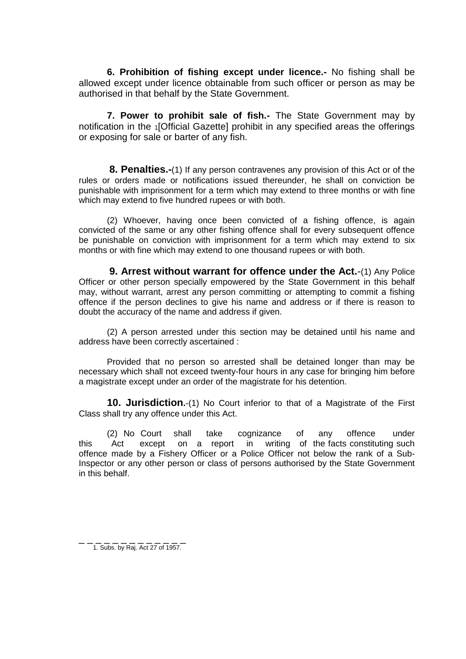**6. Prohibition of fishing except under licence.-** No fishing shall be allowed except under licence obtainable from such officer or person as may be authorised in that behalf by the State Government.

**7. Power to prohibit sale of fish.-** The State Government may by notification in the 1[Official Gazette] prohibit in any specified areas the offerings or exposing for sale or barter of any fish.

**8. Penalties.-**(1) If any person contravenes any provision of this Act or of the rules or orders made or notifications issued thereunder, he shall on conviction be punishable with imprisonment for a term which may extend to three months or with fine which may extend to five hundred rupees or with both.

(2) Whoever, having once been convicted of a fishing offence, is again convicted of the same or any other fishing offence shall for every subsequent offence be punishable on conviction with imprisonment for a term which may extend to six months or with fine which may extend to one thousand rupees or with both.

**9. Arrest without warrant for offence under the Act.**-(1) Any Police Officer or other person specially empowered by the State Government in this behalf may, without warrant, arrest any person committing or attempting to commit a fishing offence if the person declines to give his name and address or if there is reason to doubt the accuracy of the name and address if given.

(2) A person arrested under this section may be detained until his name and address have been correctly ascertained :

Provided that no person so arrested shall be detained longer than may be necessary which shall not exceed twenty-four hours in any case for bringing him before a magistrate except under an order of the magistrate for his detention.

**10. Jurisdiction.**-(1) No Court inferior to that of a Magistrate of the First Class shall try any offence under this Act.

(2) No Court shall take cognizance of any offence under this Act except on a report in writing of the facts constituting such offence made by a Fishery Officer or a Police Officer not below the rank of a Sub-Inspector or any other person or class of persons authorised by the State Government in this behalf.

\_ \_ \_ \_ \_ \_ \_ \_ \_ \_ \_ \_ \_ 1. Subs. by Raj. Act 27 of 1957.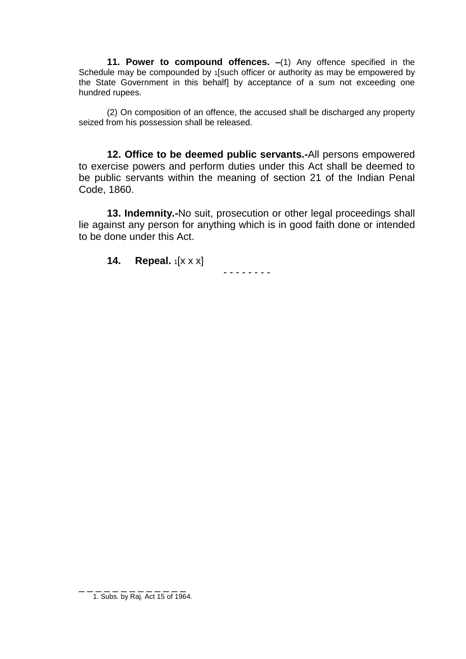**11. Power to compound offences. –**(1) Any offence specified in the Schedule may be compounded by 1[such officer or authority as may be empowered by the State Government in this behalf] by acceptance of a sum not exceeding one hundred rupees.

(2) On composition of an offence, the accused shall be discharged any property seized from his possession shall be released.

**12. Office to be deemed public servants.-**All persons empowered to exercise powers and perform duties under this Act shall be deemed to be public servants within the meaning of section 21 of the Indian Penal Code, 1860.

**13. Indemnity.-**No suit, prosecution or other legal proceedings shall lie against any person for anything which is in good faith done or intended to be done under this Act.

- - - - - - - -

**14. Repeal.**  $1[x \times x]$ 

\_ \_ \_ \_ \_ \_ \_ \_ \_ \_ \_ \_ \_ 1. Subs. by Raj. Act 15 of 1964.